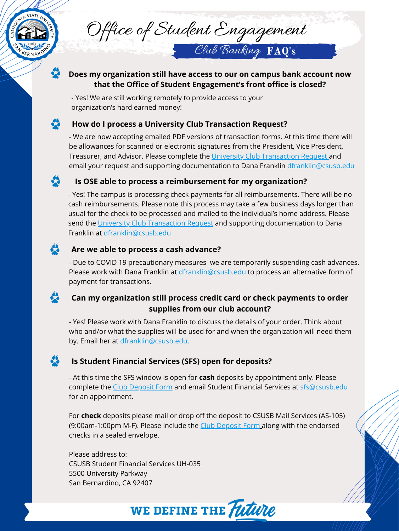## **Is OSE able to process a reimbursement for my organization?**

- We are now accepting emailed PDF versions of transaction forms. At this time there will be allowances for scanned or electronic signatures from the President, Vice President, Treasurer, and Advisor. Please complete the [University Club Transaction Request](https://www.csusb.edu/sites/default/files/University%20Club%20Financial%20Transaction%20Form%20--%20During%20Campus%20Closure_1.pdf) and email your request and supporting documentation to Dana Franklin dfranklin@csusb.edu

# 58

58

- Yes! The campus is processing check payments for all reimbursements. There will be no cash reimbursements. Please note this process may take a few business days longer than usual for the check to be processed and mailed to the individual's home address. Please send the [University Club Transaction Request](https://www.csusb.edu/sites/default/files/University%20Club%20Financial%20Transaction%20Form%20--%20During%20Campus%20Closure_1.pdf) and supporting documentation to Dana Franklin at dfranklin@csusb.edu

# **Does my organization still have access to our on campus bank account now that the Office of Student Engagement's front office is closed?** boes my organization still have access to our on camput<br>that the Office of Student Engagement's front of<br>Yes! We are still working remotely to provide access to your

- Yes! Please work with Dana Franklin to discuss the details of your order. Think about who and/or what the supplies will be used for and when the organization will need them by. Email her at dfranklin@csusb.edu.



- Due to COVID 19 precautionary measures we are temporarily suspending cash advances. Please work with Dana Franklin at dfranklin@csusb.edu to process an alternative form of

- At this time the SFS window is open for **cash** deposits by appointment only. Please complete the [Club Deposit Form](https://www.csusb.edu/sites/default/files/University%20Club%20Cash%20Deposit%20Form%20Spring%202020.pdf) and email Student Financial Services at sfs@csusb.edu for an appointment.

For **check** deposits please mail or drop off the deposit to CSUSB Mail Services (AS-105) (9:00am-1:00pmM-F). Please include the **[Club Deposit Form](https://www.csusb.edu/sites/default/files/University%20Club%20Cash%20Deposit%20Form%20Spring%202020.pdf) along with the endorsed** checks in a sealed envelope.

Please address to: CSUSB Student Financial Services UH-035 5500 University Parkway San Bernardino, CA 92407





Office of Student Engagement

## **Can my organization still process credit card or check payments to order supplies from our club account?**

#### **Is Student Financial Services (SFS) open for deposits?**

organization's hard earned money!

## **How do I process a University Club Transaction Request?**

Club Banking FAQ's

## **Are we able to process a cash advance?**

payment for transactions.